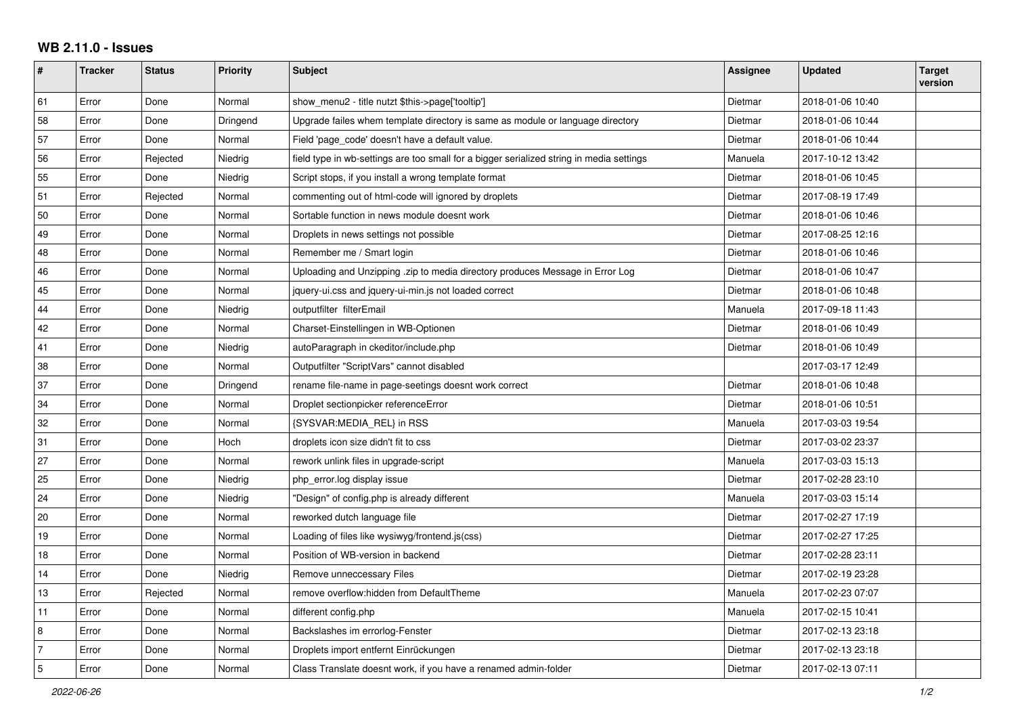## **WB 2.11.0 - Issues**

| #              | <b>Tracker</b> | <b>Status</b> | <b>Priority</b> | <b>Subject</b>                                                                           | <b>Assignee</b> | <b>Updated</b>   | <b>Target</b><br>version |
|----------------|----------------|---------------|-----------------|------------------------------------------------------------------------------------------|-----------------|------------------|--------------------------|
| 61             | Error          | Done          | Normal          | show_menu2 - title nutzt \$this->page['tooltip']                                         | Dietmar         | 2018-01-06 10:40 |                          |
| 58             | Error          | Done          | Dringend        | Upgrade failes whem template directory is same as module or language directory           | Dietmar         | 2018-01-06 10:44 |                          |
| 57             | Error          | Done          | Normal          | Field 'page_code' doesn't have a default value.                                          | Dietmar         | 2018-01-06 10:44 |                          |
| 56             | Error          | Rejected      | Niedrig         | field type in wb-settings are too small for a bigger serialized string in media settings | Manuela         | 2017-10-12 13:42 |                          |
| 55             | Error          | Done          | Niedrig         | Script stops, if you install a wrong template format                                     | Dietmar         | 2018-01-06 10:45 |                          |
| 51             | Error          | Rejected      | Normal          | commenting out of html-code will ignored by droplets                                     | Dietmar         | 2017-08-19 17:49 |                          |
| 50             | Error          | Done          | Normal          | Sortable function in news module doesnt work                                             | Dietmar         | 2018-01-06 10:46 |                          |
| 49             | Error          | Done          | Normal          | Droplets in news settings not possible                                                   | Dietmar         | 2017-08-25 12:16 |                          |
| 48             | Error          | Done          | Normal          | Remember me / Smart login                                                                | Dietmar         | 2018-01-06 10:46 |                          |
| 46             | Error          | Done          | Normal          | Uploading and Unzipping .zip to media directory produces Message in Error Log            | Dietmar         | 2018-01-06 10:47 |                          |
| 45             | Error          | Done          | Normal          | iquery-ui.css and jquery-ui-min.js not loaded correct                                    | Dietmar         | 2018-01-06 10:48 |                          |
| 44             | Error          | Done          | Niedrig         | outputfilter filterEmail                                                                 | Manuela         | 2017-09-18 11:43 |                          |
| 42             | Error          | Done          | Normal          | Charset-Einstellingen in WB-Optionen                                                     | Dietmar         | 2018-01-06 10:49 |                          |
| 41             | Error          | Done          | Niedrig         | autoParagraph in ckeditor/include.php                                                    | Dietmar         | 2018-01-06 10:49 |                          |
| 38             | Error          | Done          | Normal          | Outputfilter "ScriptVars" cannot disabled                                                |                 | 2017-03-17 12:49 |                          |
| 37             | Error          | Done          | Dringend        | rename file-name in page-seetings doesnt work correct                                    | Dietmar         | 2018-01-06 10:48 |                          |
| 34             | Error          | Done          | Normal          | Droplet sectionpicker referenceError                                                     | Dietmar         | 2018-01-06 10:51 |                          |
| 32             | Error          | Done          | Normal          | {SYSVAR:MEDIA_REL} in RSS                                                                | Manuela         | 2017-03-03 19:54 |                          |
| 31             | Error          | Done          | Hoch            | droplets icon size didn't fit to css                                                     | Dietmar         | 2017-03-02 23:37 |                          |
| 27             | Error          | Done          | Normal          | rework unlink files in upgrade-script                                                    | Manuela         | 2017-03-03 15:13 |                          |
| 25             | Error          | Done          | Niedrig         | php_error.log display issue                                                              | Dietmar         | 2017-02-28 23:10 |                          |
| 24             | Error          | Done          | Niedrig         | "Design" of config.php is already different                                              | Manuela         | 2017-03-03 15:14 |                          |
| 20             | Error          | Done          | Normal          | reworked dutch language file                                                             | Dietmar         | 2017-02-27 17:19 |                          |
| 19             | Error          | Done          | Normal          | Loading of files like wysiwyg/frontend.js(css)                                           | Dietmar         | 2017-02-27 17:25 |                          |
| 18             | Error          | Done          | Normal          | Position of WB-version in backend                                                        | Dietmar         | 2017-02-28 23:11 |                          |
| 14             | Error          | Done          | Niedrig         | Remove unneccessary Files                                                                | Dietmar         | 2017-02-19 23:28 |                          |
| 13             | Error          | Rejected      | Normal          | remove overflow:hidden from DefaultTheme                                                 | Manuela         | 2017-02-23 07:07 |                          |
| 11             | Error          | Done          | Normal          | different config.php                                                                     | Manuela         | 2017-02-15 10:41 |                          |
| 8              | Error          | Done          | Normal          | Backslashes im errorlog-Fenster                                                          | Dietmar         | 2017-02-13 23:18 |                          |
| $\overline{7}$ | Error          | Done          | Normal          | Droplets import entfernt Einrückungen                                                    | Dietmar         | 2017-02-13 23:18 |                          |
| $\sqrt{5}$     | Error          | Done          | Normal          | Class Translate doesnt work, if you have a renamed admin-folder                          | Dietmar         | 2017-02-13 07:11 |                          |